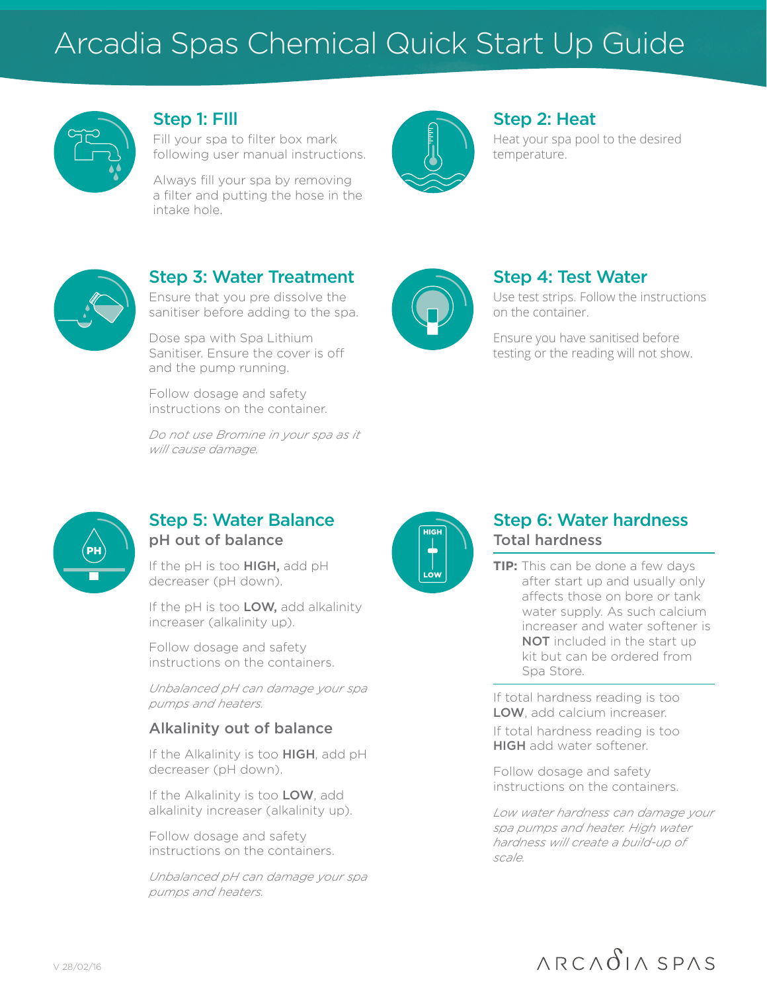## Arcadia Spas Chemical Quick Start Up Guide



#### Step 1: FIll

Fill your spa to filter box mark following user manual instructions.

Always fill your spa by removing a filter and putting the hose in the intake hole.



#### Step 2: Heat

Heat your spa pool to the desired temperature.



## Step 3: Water Treatment

Ensure that you pre dissolve the sanitiser before adding to the spa.

Dose spa with Spa Lithium Sanitiser. Ensure the cover is off and the pump running.

Follow dosage and safety instructions on the container.

*Do not use Bromine in your spa as it will cause damage.* 



### Step 4: Test Water

Use test strips. Follow the instructions on the container.

Ensure you have sanitised before testing or the reading will not show.



### Step 5: Water Balance pH out of balance

If the pH is too HIGH, add pH decreaser (pH down).

If the pH is too LOW, add alkalinity increaser (alkalinity up).

Follow dosage and safety instructions on the containers.

*Unbalanced pH can damage your spa pumps and heaters.*

#### Alkalinity out of balance

If the Alkalinity is too HIGH, add pH decreaser (pH down).

If the Alkalinity is too LOW, add alkalinity increaser (alkalinity up).

Follow dosage and safety instructions on the containers.

*Unbalanced pH can damage your spa pumps and heaters.*



#### Step 6: Water hardness Total hardness

**TIP:** This can be done a few days after start up and usually only affects those on bore or tank water supply. As such calcium increaser and water softener is NOT included in the start up kit but can be ordered from Spa Store.

If total hardness reading is too LOW, add calcium increaser.

If total hardness reading is too HIGH add water softener.

Follow dosage and safety instructions on the containers.

*Low water hardness can damage your spa pumps and heater. High water hardness will create a build-up of scale.*